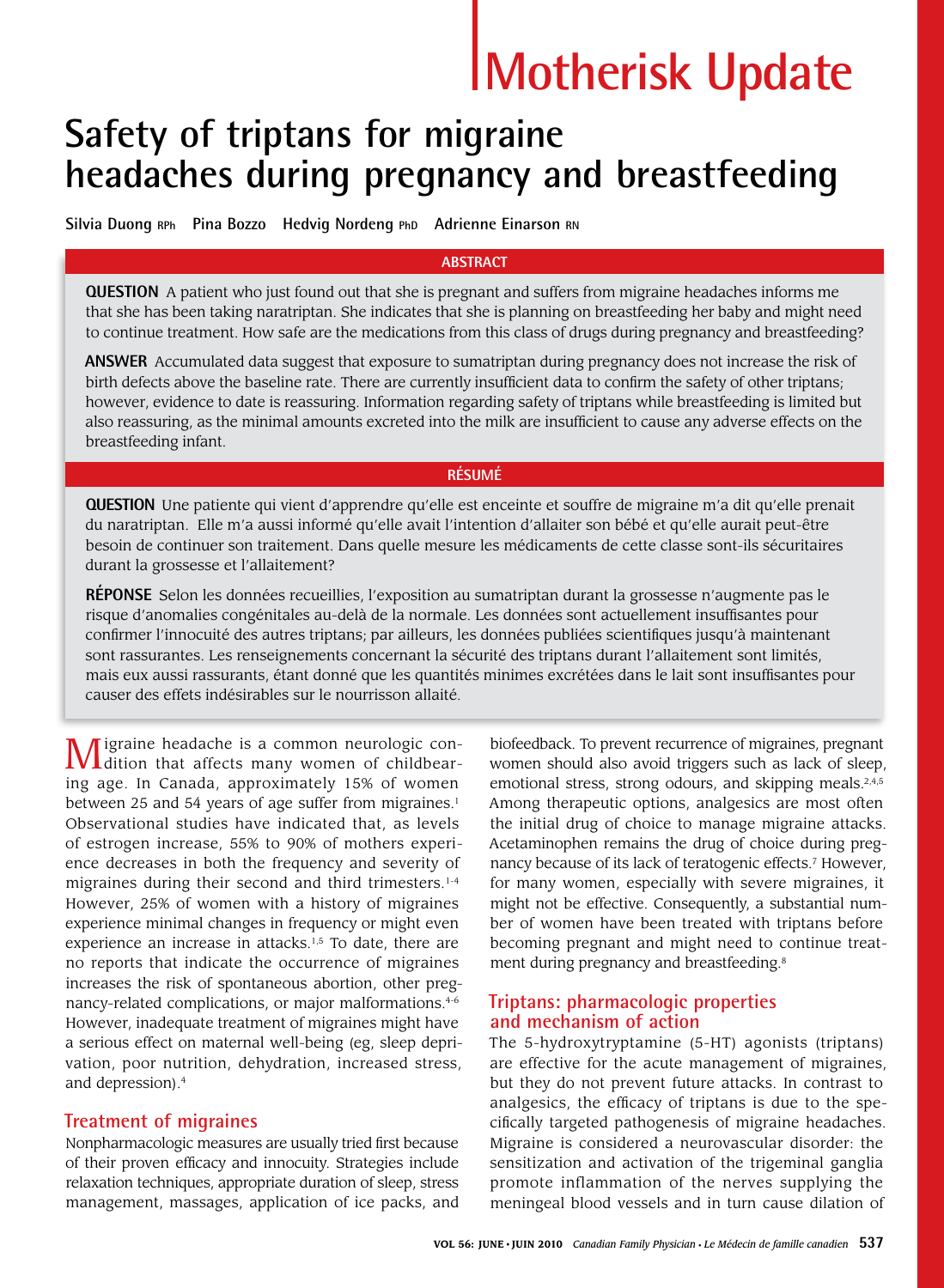# **Motherisk Update**

## **Safety of triptans for migraine headaches during pregnancy and breastfeeding**

**Silvia Duong RPh Pina Bozzo Hedvig Nordeng PhD Adrienne Einarson RN**

#### **ABSTRACT**

**QUESTION** A patient who just found out that she is pregnant and suffers from migraine headaches informs me that she has been taking naratriptan. She indicates that she is planning on breastfeeding her baby and might need to continue treatment. How safe are the medications from this class of drugs during pregnancy and breastfeeding?

**ANSWER** Accumulated data suggest that exposure to sumatriptan during pregnancy does not increase the risk of birth defects above the baseline rate. There are currently insufficient data to confirm the safety of other triptans; however, evidence to date is reassuring. Information regarding safety of triptans while breastfeeding is limited but also reassuring, as the minimal amounts excreted into the milk are insufficient to cause any adverse effects on the breastfeeding infant.

#### **RÉSUMÉ**

**QUESTION** Une patiente qui vient d'apprendre qu'elle est enceinte et souffre de migraine m'a dit qu'elle prenait du naratriptan. Elle m'a aussi informé qu'elle avait l'intention d'allaiter son bébé et qu'elle aurait peut-être besoin de continuer son traitement. Dans quelle mesure les médicaments de cette classe sont-ils sécuritaires durant la grossesse et l'allaitement?

**RÉPONSE** Selon les données recueillies, l'exposition au sumatriptan durant la grossesse n'augmente pas le risque d'anomalies congénitales au-delà de la normale. Les données sont actuellement insuffisantes pour confirmer l'innocuité des autres triptans; par ailleurs, les données publiées scientifiques jusqu'à maintenant sont rassurantes. Les renseignements concernant la sécurité des triptans durant l'allaitement sont limités, mais eux aussi rassurants, étant donné que les quantités minimes excrétées dans le lait sont insuffisantes pour causer des effets indésirables sur le nourrisson allaité.

Migraine headache is a common neurologic con-dition that affects many women of childbearing age. In Canada, approximately 15% of women between 25 and 54 years of age suffer from migraines.<sup>1</sup> Observational studies have indicated that, as levels of estrogen increase, 55% to 90% of mothers experience decreases in both the frequency and severity of migraines during their second and third trimesters.<sup>1-4</sup> However, 25% of women with a history of migraines experience minimal changes in frequency or might even experience an increase in attacks.<sup>1,5</sup> To date, there are no reports that indicate the occurrence of migraines increases the risk of spontaneous abortion, other pregnancy-related complications, or major malformations.<sup>4-6</sup> However, inadequate treatment of migraines might have a serious effect on maternal well-being (eg, sleep deprivation, poor nutrition, dehydration, increased stress, and depression).4

#### **Treatment of migraines**

Nonpharmacologic measures are usually tried first because of their proven efficacy and innocuity. Strategies include relaxation techniques, appropriate duration of sleep, stress management, massages, application of ice packs, and

biofeedback. To prevent recurrence of migraines, pregnant women should also avoid triggers such as lack of sleep, emotional stress, strong odours, and skipping meals.<sup>2,4,5</sup> Among therapeutic options, analgesics are most often the initial drug of choice to manage migraine attacks. Acetaminophen remains the drug of choice during pregnancy because of its lack of teratogenic effects.<sup>7</sup> However, for many women, especially with severe migraines, it might not be effective. Consequently, a substantial number of women have been treated with triptans before becoming pregnant and might need to continue treatment during pregnancy and breastfeeding.<sup>8</sup>

#### **Triptans: pharmacologic properties and mechanism of action**

The 5-hydroxytryptamine (5-HT) agonists (triptans) are effective for the acute management of migraines, but they do not prevent future attacks. In contrast to analgesics, the efficacy of triptans is due to the specifically targeted pathogenesis of migraine headaches. Migraine is considered a neurovascular disorder: the sensitization and activation of the trigeminal ganglia promote inflammation of the nerves supplying the meningeal blood vessels and in turn cause dilation of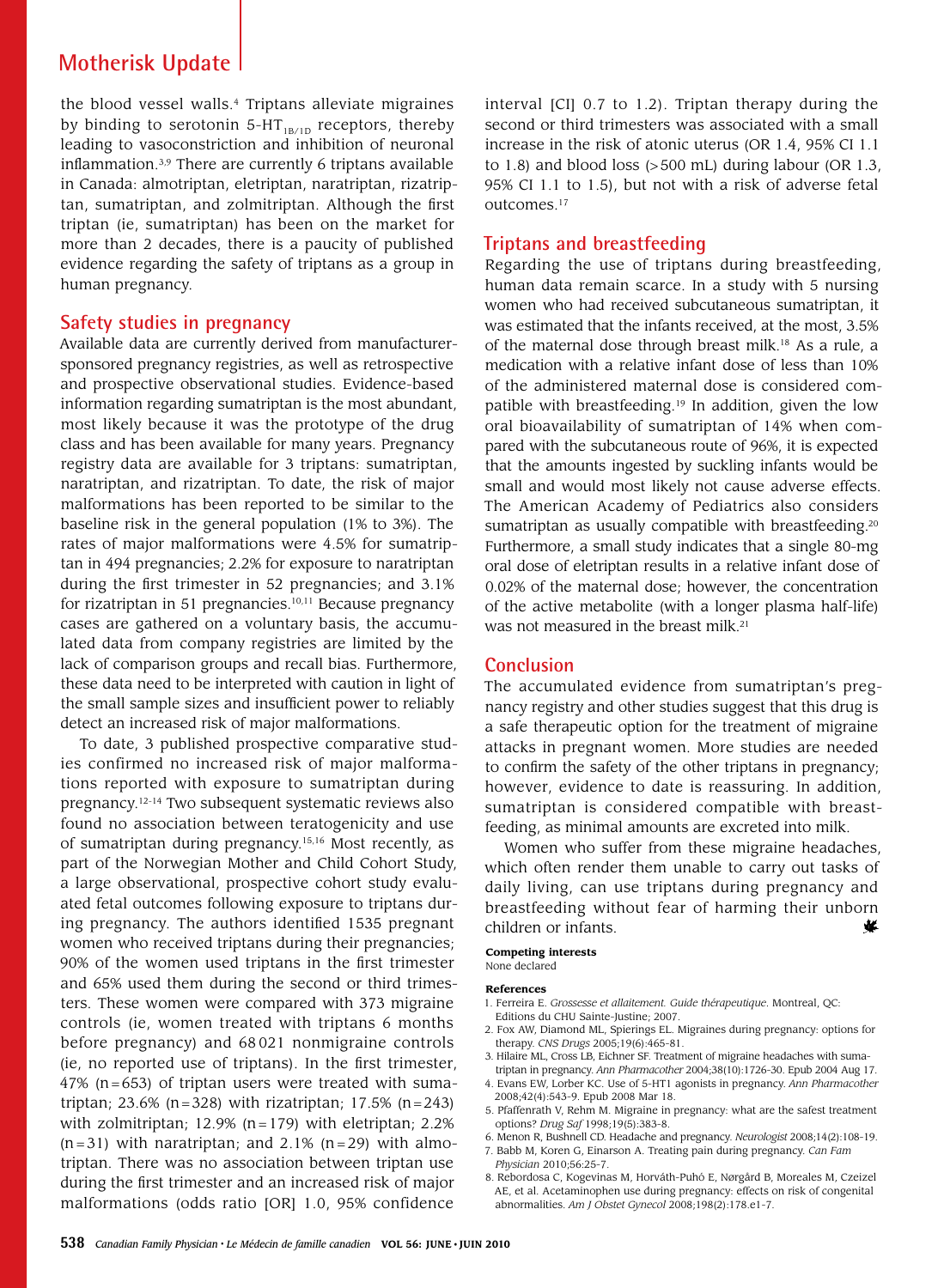### **Motherisk Update**

the blood vessel walls.<sup>4</sup> Triptans alleviate migraines by binding to serotonin 5-HT $_{IB/1D}$  receptors, thereby leading to vasoconstriction and inhibition of neuronal inflammation.3,9 There are currently 6 triptans available in Canada: almotriptan, eletriptan, naratriptan, rizatriptan, sumatriptan, and zolmitriptan. Although the first triptan (ie, sumatriptan) has been on the market for more than 2 decades, there is a paucity of published evidence regarding the safety of triptans as a group in human pregnancy.

#### **Safety studies in pregnancy**

Available data are currently derived from manufacturersponsored pregnancy registries, as well as retrospective and prospective observational studies. Evidence-based information regarding sumatriptan is the most abundant, most likely because it was the prototype of the drug class and has been available for many years. Pregnancy registry data are available for 3 triptans: sumatriptan, naratriptan, and rizatriptan. To date, the risk of major malformations has been reported to be similar to the baseline risk in the general population (1% to 3%). The rates of major malformations were 4.5% for sumatriptan in 494 pregnancies; 2.2% for exposure to naratriptan during the first trimester in 52 pregnancies; and 3.1% for rizatriptan in 51 pregnancies.<sup>10,11</sup> Because pregnancy cases are gathered on a voluntary basis, the accumulated data from company registries are limited by the lack of comparison groups and recall bias. Furthermore, these data need to be interpreted with caution in light of the small sample sizes and insufficient power to reliably detect an increased risk of major malformations.

To date, 3 published prospective comparative studies confirmed no increased risk of major malformations reported with exposure to sumatriptan during pregnancy.12-14 Two subsequent systematic reviews also found no association between teratogenicity and use of sumatriptan during pregnancy.15,16 Most recently, as part of the Norwegian Mother and Child Cohort Study, a large observational, prospective cohort study evaluated fetal outcomes following exposure to triptans during pregnancy. The authors identified 1535 pregnant women who received triptans during their pregnancies; 90% of the women used triptans in the first trimester and 65% used them during the second or third trimesters. These women were compared with 373 migraine controls (ie, women treated with triptans 6 months before pregnancy) and 68 021 nonmigraine controls (ie, no reported use of triptans). In the first trimester,  $47\%$  (n=653) of triptan users were treated with sumatriptan; 23.6% (n=328) with rizatriptan; 17.5% (n=243) with zolmitriptan; 12.9% ( $n=179$ ) with eletriptan; 2.2%  $(n=31)$  with naratriptan; and 2.1%  $(n=29)$  with almotriptan. There was no association between triptan use during the first trimester and an increased risk of major malformations (odds ratio [OR] 1.0, 95% confidence

interval [CI] 0.7 to 1.2). Triptan therapy during the second or third trimesters was associated with a small increase in the risk of atonic uterus (OR 1.4, 95% CI 1.1 to 1.8) and blood loss  $(>500 \text{ mL})$  during labour (OR 1.3, 95% CI 1.1 to 1.5), but not with a risk of adverse fetal outcomes.<sup>17</sup>

#### **Triptans and breastfeeding**

Regarding the use of triptans during breastfeeding, human data remain scarce. In a study with 5 nursing women who had received subcutaneous sumatriptan, it was estimated that the infants received, at the most, 3.5% of the maternal dose through breast milk.18 As a rule, a medication with a relative infant dose of less than 10% of the administered maternal dose is considered compatible with breastfeeding.19 In addition, given the low oral bioavailability of sumatriptan of 14% when compared with the subcutaneous route of 96%, it is expected that the amounts ingested by suckling infants would be small and would most likely not cause adverse effects. The American Academy of Pediatrics also considers sumatriptan as usually compatible with breastfeeding.<sup>20</sup> Furthermore, a small study indicates that a single 80-mg oral dose of eletriptan results in a relative infant dose of 0.02% of the maternal dose; however, the concentration of the active metabolite (with a longer plasma half-life) was not measured in the breast milk.<sup>21</sup>

#### **Conclusion**

The accumulated evidence from sumatriptan's pregnancy registry and other studies suggest that this drug is a safe therapeutic option for the treatment of migraine attacks in pregnant women. More studies are needed to confirm the safety of the other triptans in pregnancy; however, evidence to date is reassuring. In addition, sumatriptan is considered compatible with breastfeeding, as minimal amounts are excreted into milk.

Women who suffer from these migraine headaches, which often render them unable to carry out tasks of daily living, can use triptans during pregnancy and breastfeeding without fear of harming their unborn children or infants. ₩

#### **Competing interests** None declared

#### **References**

- 1. Ferreira E. *Grossesse et allaitement. Guide thérapeutique*. Montreal, QC: Editions du CHU Sainte-Justine; 2007.
- 2. Fox AW, Diamond ML, Spierings EL. Migraines during pregnancy: options for therapy. *CNS Drugs* 2005;19(6):465-81.
- 3. Hilaire ML, Cross LB, Eichner SF. Treatment of migraine headaches with sumatriptan in pregnancy. *Ann Pharmacother* 2004;38(10):1726-30. Epub 2004 Aug 17.
- 4. Evans EW, Lorber KC. Use of 5-HT1 agonists in pregnancy. *Ann Pharmacother* 2008;42(4):543-9. Epub 2008 Mar 18.
- 5. Pfaffenrath V, Rehm M. Migraine in pregnancy: what are the safest treatment options? *Drug Saf* 1998;19(5):383-8.
- 6. Menon R, Bushnell CD. Headache and pregnancy. *Neurologist* 2008;14(2):108-19. 7. Babb M, Koren G, Einarson A. Treating pain during pregnancy. *Can Fam*
- *Physician* 2010;56:25-7.
- 8. Rebordosa C, Kogevinas M, Horváth-Puhó E, Nørgård B, Moreales M, Czeizel AE, et al. Acetaminophen use during pregnancy: effects on risk of congenital abnormalities. *Am J Obstet Gynecol* 2008;198(2):178.e1-7.